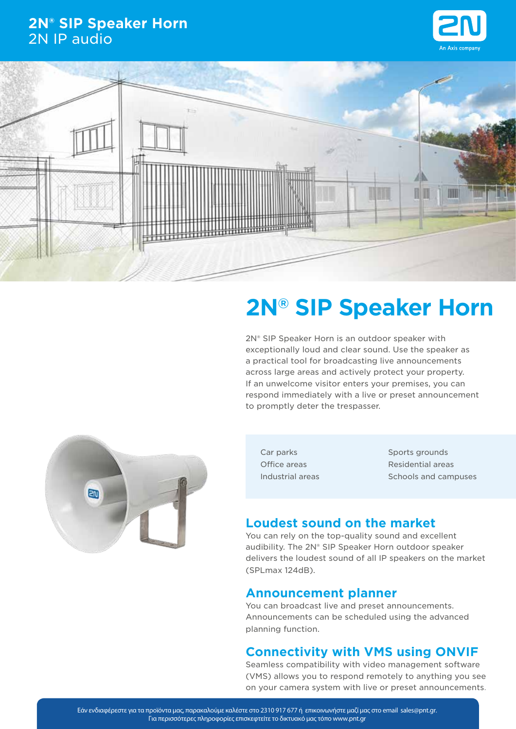## **2N® SIP Speaker Horn** 2N IP audio





## **2N® SIP Speaker Horn**

2N® SIP Speaker Horn is an outdoor speaker with exceptionally loud and clear sound. Use the speaker as a practical tool for broadcasting live announcements across large areas and actively protect your property. If an unwelcome visitor enters your premises, you can respond immediately with a live or preset announcement to promptly deter the trespasser.



Car parks Office areas Industrial areas Sports grounds Residential areas Schools and campuses

## **Loudest sound on the market**

You can rely on the top-quality sound and excellent audibility. The 2N® SIP Speaker Horn outdoor speaker delivers the loudest sound of all IP speakers on the market (SPLmax 124dB).

### **Announcement planner**

You can broadcast live and preset announcements. Announcements can be scheduled using the advanced planning function.

## **Connectivity with VMS using ONVIF**

Seamless compatibility with video management software (VMS) allows you to respond remotely to anything you see on your camera system with live or preset announcements.